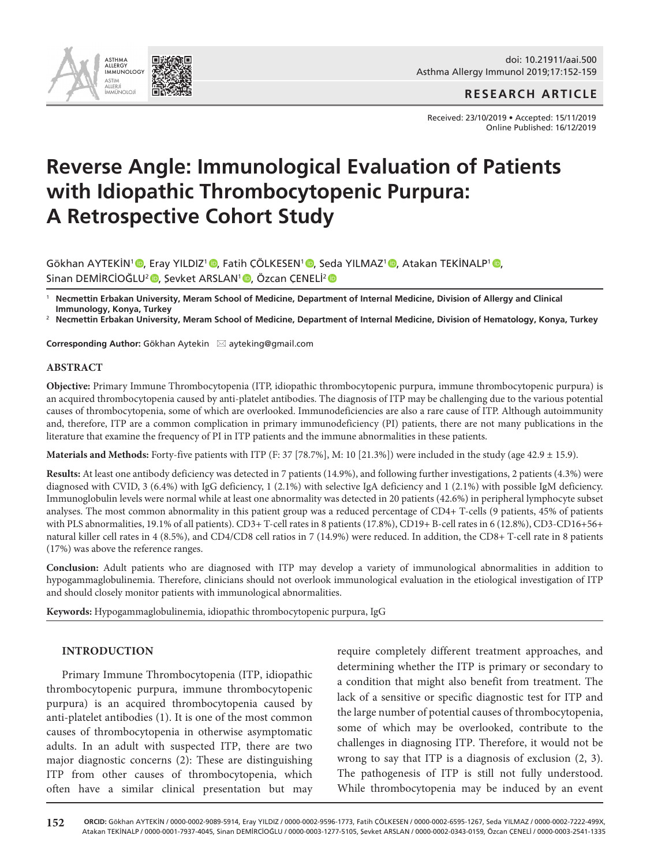

## **RESEARCH ARTICLE**

Received: 23/10/2019 • Accepted: 15/11/2019 Online Published: 16/12/2019

# **Reverse Angle: Immunological Evaluation of Patients with Idiopathic Thrombocytopenic Purpura: A Retrospective Cohort Study**

GökhanAYTEKİN<sup>1</sup> (D, Eray YILDIZ<sup>1</sup> (D, Fatih ÇÖLKESEN<sup>1</sup> (D, Seda YILMAZ<sup>1</sup> (D, Atakan TEKİNALP<sup>1</sup> (D, Sinan DEMİRCİOĞLU<del>'</del> (D. Şevket ARSLAN' (D. Özcan ÇENELİ'

<sup>1</sup> **Necmettin Erbakan University, Meram School of Medicine, Department of Internal Medicine, Division of Allergy and Clinical Immunology, Konya, Turkey**

<sup>2</sup> **Necmettin Erbakan University, Meram School of Medicine, Department of Internal Medicine, Division of Hematology, Konya, Turkey**

**Corresponding Author:** Gökhan Aytekin ⊠ ayteking@gmail.com

#### **ABSTRACT**

**Objective:** Primary Immune Thrombocytopenia (ITP, idiopathic thrombocytopenic purpura, immune thrombocytopenic purpura) is an acquired thrombocytopenia caused by anti-platelet antibodies. The diagnosis of ITP may be challenging due to the various potential causes of thrombocytopenia, some of which are overlooked. Immunodeficiencies are also a rare cause of ITP. Although autoimmunity and, therefore, ITP are a common complication in primary immunodeficiency (PI) patients, there are not many publications in the literature that examine the frequency of PI in ITP patients and the immune abnormalities in these patients.

**Materials and Methods:** Forty-five patients with ITP  $(F: 37 [78.7\%], M: 10 [21.3\%])$  were included in the study (age  $42.9 \pm 15.9$ ).

**Results:** At least one antibody deficiency was detected in 7 patients (14.9%), and following further investigations, 2 patients (4.3%) were diagnosed with CVID, 3 (6.4%) with IgG deficiency, 1 (2.1%) with selective IgA deficiency and 1 (2.1%) with possible IgM deficiency. Immunoglobulin levels were normal while at least one abnormality was detected in 20 patients (42.6%) in peripheral lymphocyte subset analyses. The most common abnormality in this patient group was a reduced percentage of CD4+ T-cells (9 patients, 45% of patients with PLS abnormalities, 19.1% of all patients). CD3+ T-cell rates in 8 patients (17.8%), CD19+ B-cell rates in 6 (12.8%), CD3-CD16+56+ natural killer cell rates in 4 (8.5%), and CD4/CD8 cell ratios in 7 (14.9%) were reduced. In addition, the CD8+ T-cell rate in 8 patients (17%) was above the reference ranges.

**Conclusion:** Adult patients who are diagnosed with ITP may develop a variety of immunological abnormalities in addition to hypogammaglobulinemia. Therefore, clinicians should not overlook immunological evaluation in the etiological investigation of ITP and should closely monitor patients with immunological abnormalities.

**Keywords:** Hypogammaglobulinemia, idiopathic thrombocytopenic purpura, IgG

#### **INTRODUCTION**

Primary Immune Thrombocytopenia (ITP, idiopathic thrombocytopenic purpura, immune thrombocytopenic purpura) is an acquired thrombocytopenia caused by anti-platelet antibodies (1). It is one of the most common causes of thrombocytopenia in otherwise asymptomatic adults. In an adult with suspected ITP, there are two major diagnostic concerns (2): These are distinguishing ITP from other causes of thrombocytopenia, which often have a similar clinical presentation but may require completely different treatment approaches, and determining whether the ITP is primary or secondary to a condition that might also benefit from treatment. The lack of a sensitive or specific diagnostic test for ITP and the large number of potential causes of thrombocytopenia, some of which may be overlooked, contribute to the challenges in diagnosing ITP. Therefore, it would not be wrong to say that ITP is a diagnosis of exclusion (2, 3). The pathogenesis of ITP is still not fully understood. While thrombocytopenia may be induced by an event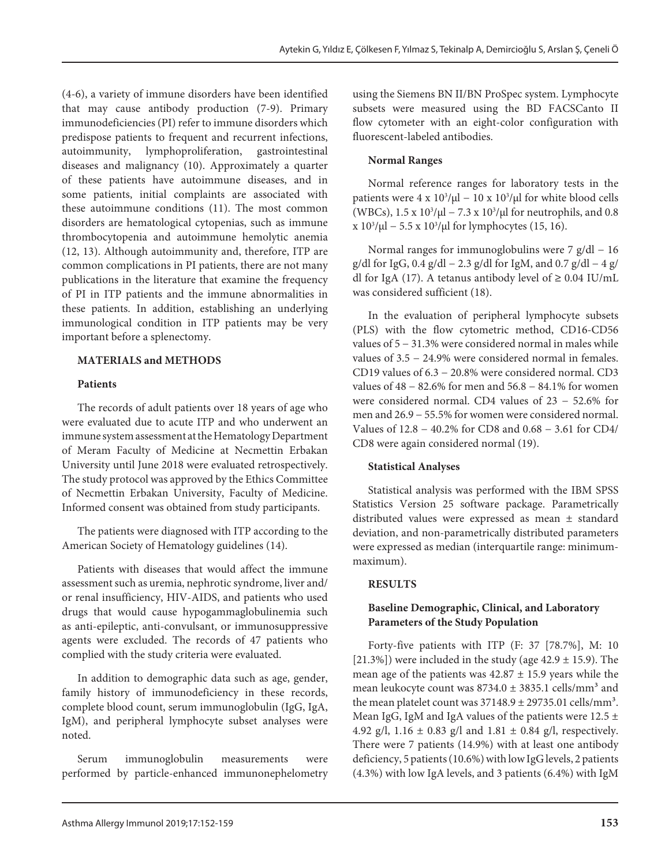(4-6), a variety of immune disorders have been identified that may cause antibody production (7-9). Primary immunodeficiencies (PI) refer to immune disorders which predispose patients to frequent and recurrent infections, autoimmunity, lymphoproliferation, gastrointestinal diseases and malignancy (10). Approximately a quarter of these patients have autoimmune diseases, and in some patients, initial complaints are associated with these autoimmune conditions (11). The most common disorders are hematological cytopenias, such as immune thrombocytopenia and autoimmune hemolytic anemia (12, 13). Although autoimmunity and, therefore, ITP are common complications in PI patients, there are not many publications in the literature that examine the frequency of PI in ITP patients and the immune abnormalities in these patients. In addition, establishing an underlying immunological condition in ITP patients may be very important before a splenectomy.

## **MATERIALS and METHODS**

## **Patients**

The records of adult patients over 18 years of age who were evaluated due to acute ITP and who underwent an immune system assessment at the Hematology Department of Meram Faculty of Medicine at Necmettin Erbakan University until June 2018 were evaluated retrospectively. The study protocol was approved by the Ethics Committee of Necmettin Erbakan University, Faculty of Medicine. Informed consent was obtained from study participants.

The patients were diagnosed with ITP according to the American Society of Hematology guidelines (14).

Patients with diseases that would affect the immune assessment such as uremia, nephrotic syndrome, liver and/ or renal insufficiency, HIV-AIDS, and patients who used drugs that would cause hypogammaglobulinemia such as anti-epileptic, anti-convulsant, or immunosuppressive agents were excluded. The records of 47 patients who complied with the study criteria were evaluated.

In addition to demographic data such as age, gender, family history of immunodeficiency in these records, complete blood count, serum immunoglobulin (IgG, IgA, IgM), and peripheral lymphocyte subset analyses were noted.

Serum immunoglobulin measurements were performed by particle-enhanced immunonephelometry using the Siemens BN II/BN ProSpec system. Lymphocyte subsets were measured using the BD FACSCanto II flow cytometer with an eight-color configuration with fluorescent-labeled antibodies.

## **Normal Ranges**

Normal reference ranges for laboratory tests in the patients were  $4 \times 10^3/\mu$ l –  $10 \times 10^3/\mu$ l for white blood cells (WBCs), 1.5 x 10<sup>3</sup>/µl − 7.3 x 10<sup>3</sup>/µl for neutrophils, and 0.8  $x 10^3/\mu$ l − 5.5 x 10<sup>3</sup>/ $\mu$ l for lymphocytes (15, 16).

Normal ranges for immunoglobulins were 7 g/dl − 16 g/dl for IgG,  $0.4$  g/dl  $- 2.3$  g/dl for IgM, and  $0.7$  g/dl  $- 4$  g/ dl for IgA (17). A tetanus antibody level of **≥** 0.04 IU/mL was considered sufficient (18).

In the evaluation of peripheral lymphocyte subsets (PLS) with the flow cytometric method, CD16-CD56 values of 5 − 31.3% were considered normal in males while values of 3.5 − 24.9% were considered normal in females. CD19 values of 6.3 − 20.8% were considered normal. CD3 values of 48 − 82.6% for men and 56.8 − 84.1% for women were considered normal. CD4 values of 23 − 52.6% for men and 26.9 − 55.5% for women were considered normal. Values of 12.8 − 40.2% for CD8 and 0.68 − 3.61 for CD4/ CD8 were again considered normal (19).

#### **Statistical Analyses**

Statistical analysis was performed with the IBM SPSS Statistics Version 25 software package. Parametrically distributed values were expressed as mean ± standard deviation, and non-parametrically distributed parameters were expressed as median (interquartile range: minimummaximum).

# **RESULTS**

# **Baseline Demographic, Clinical, and Laboratory Parameters of the Study Population**

Forty-five patients with ITP (F: 37 [78.7%], M: 10 [21.3%]) were included in the study (age  $42.9 \pm 15.9$ ). The mean age of the patients was  $42.87 \pm 15.9$  years while the mean leukocyte count was  $8734.0 \pm 3835.1$  cells/mm<sup>3</sup> and the mean platelet count was  $37148.9 \pm 29735.01$  cells/mm<sup>3</sup>. Mean IgG, IgM and IgA values of the patients were  $12.5 \pm$ 4.92 g/l,  $1.16 \pm 0.83$  g/l and  $1.81 \pm 0.84$  g/l, respectively. There were 7 patients (14.9%) with at least one antibody deficiency, 5 patients (10.6%) with low IgG levels, 2 patients (4.3%) with low IgA levels, and 3 patients (6.4%) with IgM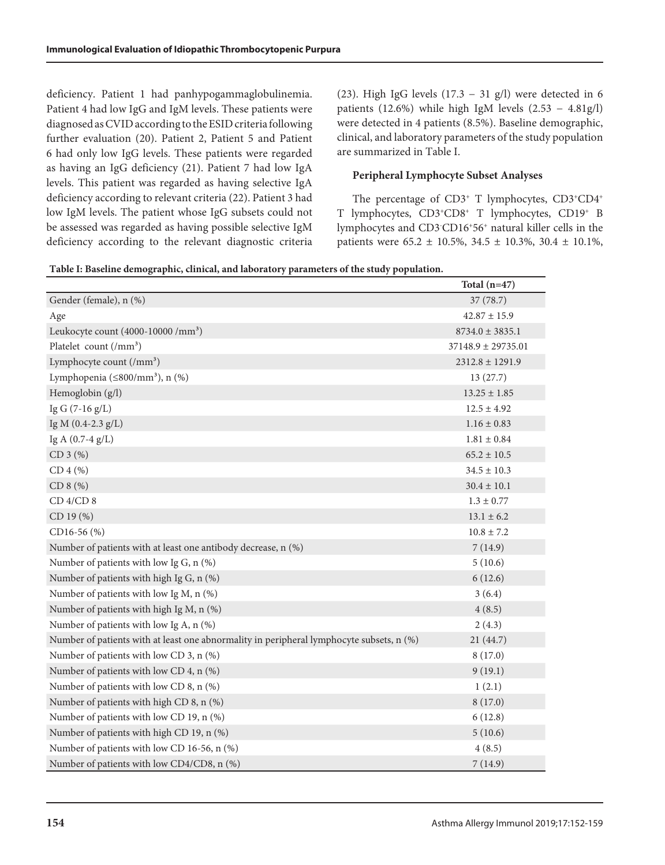deficiency. Patient 1 had panhypogammaglobulinemia. Patient 4 had low IgG and IgM levels. These patients were diagnosed as CVID according to the ESID criteria following further evaluation (20). Patient 2, Patient 5 and Patient 6 had only low IgG levels. These patients were regarded as having an IgG deficiency (21). Patient 7 had low IgA levels. This patient was regarded as having selective IgA deficiency according to relevant criteria (22). Patient 3 had low IgM levels. The patient whose IgG subsets could not be assessed was regarded as having possible selective IgM deficiency according to the relevant diagnostic criteria (23). High IgG levels  $(17.3 - 31$  g/l) were detected in 6 patients (12.6%) while high IgM levels  $(2.53 - 4.81g/l)$ were detected in 4 patients (8.5%). Baseline demographic, clinical, and laboratory parameters of the study population are summarized in Table I.

## **Peripheral Lymphocyte Subset Analyses**

The percentage of CD3<sup>+</sup> T lymphocytes, CD3<sup>+</sup>CD4<sup>+</sup> T lymphocytes, CD3+CD8+ T lymphocytes, CD19+ B lymphocytes and CD3- CD16+56+ natural killer cells in the patients were  $65.2 \pm 10.5\%$ ,  $34.5 \pm 10.3\%$ ,  $30.4 \pm 10.1\%$ ,

|                                                                                          | Total $(n=47)$         |
|------------------------------------------------------------------------------------------|------------------------|
| Gender (female), n (%)                                                                   | 37(78.7)               |
| Age                                                                                      | $42.87 \pm 15.9$       |
| Leukocyte count (4000-10000 /mm <sup>3</sup> )                                           | $8734.0 \pm 3835.1$    |
| Platelet count $\left(\frac{\mu}{m}\right)^3$                                            | $37148.9 \pm 29735.01$ |
| Lymphocyte count (/mm <sup>3</sup> )                                                     | $2312.8 \pm 1291.9$    |
| Lymphopenia ( $\leq$ 800/mm <sup>3</sup> ), n (%)                                        | 13(27.7)               |
| Hemoglobin (g/l)                                                                         | $13.25 \pm 1.85$       |
| Ig G $(7-16 g/L)$                                                                        | $12.5 \pm 4.92$        |
| Ig M (0.4-2.3 g/L)                                                                       | $1.16 \pm 0.83$        |
| Ig A $(0.7-4$ g/L)                                                                       | $1.81 \pm 0.84$        |
| CD 3 (%)                                                                                 | $65.2 \pm 10.5$        |
| CD 4 (%)                                                                                 | $34.5 \pm 10.3$        |
| $CD 8 (\%)$                                                                              | $30.4 \pm 10.1$        |
| $CD$ 4/ $CD$ 8                                                                           | $1.3 \pm 0.77$         |
| CD 19 (%)                                                                                | $13.1 \pm 6.2$         |
| CD16-56 (%)                                                                              | $10.8 \pm 7.2$         |
| Number of patients with at least one antibody decrease, n (%)                            | 7(14.9)                |
| Number of patients with low Ig G, n (%)                                                  | 5(10.6)                |
| Number of patients with high Ig G, n (%)                                                 | 6(12.6)                |
| Number of patients with low Ig M, n (%)                                                  | 3(6.4)                 |
| Number of patients with high Ig M, n (%)                                                 | 4(8.5)                 |
| Number of patients with low Ig A, n (%)                                                  | 2(4.3)                 |
| Number of patients with at least one abnormality in peripheral lymphocyte subsets, n (%) | 21 (44.7)              |
| Number of patients with low CD 3, n (%)                                                  | 8(17.0)                |
| Number of patients with low CD 4, n (%)                                                  | 9(19.1)                |
| Number of patients with low CD 8, n (%)                                                  | 1(2.1)                 |
| Number of patients with high CD 8, n (%)                                                 | 8(17.0)                |
| Number of patients with low CD 19, n (%)                                                 | 6(12.8)                |
| Number of patients with high CD 19, n (%)                                                | 5(10.6)                |
| Number of patients with low CD 16-56, n (%)                                              | 4(8.5)                 |
| Number of patients with low CD4/CD8, n (%)                                               | 7(14.9)                |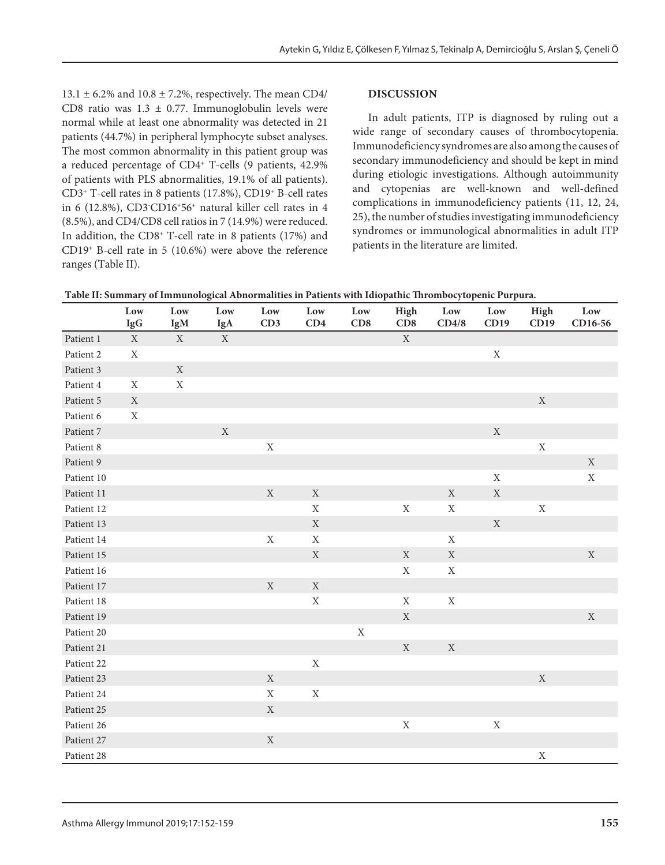$13.1 \pm 6.2\%$  and  $10.8 \pm 7.2\%$ , respectively. The mean CD4/ CD8 ratio was  $1.3 \pm 0.77$ . Immunoglobulin levels were normal while at least one abnormality was detected in 21 patients (44.7%) in peripheral lymphocyte subset analyses. The most common abnormality in this patient group was a reduced percentage of CD4+ T-cells (9 patients, 42.9% of patients with PLS abnormalities, 19.1% of all patients). CD3+ T-cell rates in 8 patients (17.8%), CD19+ B-cell rates in 6 (12.8%), CD3- CD16+56+ natural killer cell rates in 4 (8.5%), and CD4/CD8 cell ratios in 7 (14.9%) were reduced. In addition, the CD8+ T-cell rate in 8 patients (17%) and CD19+ B-cell rate in 5 (10.6%) were above the reference ranges (Table II).

#### **DISCUSSION**

In adult patients, ITP is diagnosed by ruling out a wide range of secondary causes of thrombocytopenia. Immunodeficiency syndromes are also among the causes of secondary immunodeficiency and should be kept in mind during etiologic investigations. Although autoimmunity and cytopenias are well-known and well-defined complications in immunodeficiency patients (11, 12, 24, 25), the number of studies investigating immunodeficiency syndromes or immunological abnormalities in adult ITP patients in the literature are limited.

| racio en cammary en mimanological richormanico in i altento with ratopathic infollicocytopeme i arparat | Low         | Low         | $_{\rm Low}$ | Low         | Low         | Low         | High        | Low         | Low         | High        | Low         |
|---------------------------------------------------------------------------------------------------------|-------------|-------------|--------------|-------------|-------------|-------------|-------------|-------------|-------------|-------------|-------------|
|                                                                                                         | IgG         | IgM         | IgA          | CD3         | CD4         | CD8         | CD8         | CD4/8       | CD19        | CD19        | CD16-56     |
| Patient 1                                                                                               | $\mathbf X$ | $\mathbf X$ | $\mathbf X$  |             |             |             | $\mathbf X$ |             |             |             |             |
| Patient 2                                                                                               | $\mathbf X$ |             |              |             |             |             |             |             | $\mathbf X$ |             |             |
| Patient 3                                                                                               |             | $\mathbf X$ |              |             |             |             |             |             |             |             |             |
| Patient 4                                                                                               | $\mathbf X$ | $\mathbf X$ |              |             |             |             |             |             |             |             |             |
| Patient 5                                                                                               | $\mathbf X$ |             |              |             |             |             |             |             |             | $\mathbf X$ |             |
| Patient 6                                                                                               | $\mathbf X$ |             |              |             |             |             |             |             |             |             |             |
| Patient 7                                                                                               |             |             | $\mathbf X$  |             |             |             |             |             | $\mathbf X$ |             |             |
| Patient 8                                                                                               |             |             |              | $\mathbf X$ |             |             |             |             |             | $\mathbf X$ |             |
| Patient 9                                                                                               |             |             |              |             |             |             |             |             |             |             | $\mathbf X$ |
| Patient 10                                                                                              |             |             |              |             |             |             |             |             | $\mathbf X$ |             | $\mathbf X$ |
| Patient 11                                                                                              |             |             |              | $\mathbf X$ | $\mathbf X$ |             |             | $\mathbf X$ | $\mathbf X$ |             |             |
| Patient 12                                                                                              |             |             |              |             | $\mathbf X$ |             | $\mathbf X$ | $\mathbf X$ |             | $\mathbf X$ |             |
| Patient 13                                                                                              |             |             |              |             | $\mathbf X$ |             |             |             | $\mathbf X$ |             |             |
| Patient 14                                                                                              |             |             |              | $\mathbf X$ | $\mathbf X$ |             |             | $\mathbf X$ |             |             |             |
| Patient 15                                                                                              |             |             |              |             | $\mathbf X$ |             | $\mathbf X$ | $\mathbf X$ |             |             | $\mathbf X$ |
| Patient 16                                                                                              |             |             |              |             |             |             | $\mathbf X$ | $\mathbf X$ |             |             |             |
| Patient 17                                                                                              |             |             |              | $\mathbf X$ | $\mathbf X$ |             |             |             |             |             |             |
| Patient 18                                                                                              |             |             |              |             | $\mathbf X$ |             | $\mathbf X$ | $\mathbf X$ |             |             |             |
| Patient 19                                                                                              |             |             |              |             |             |             | $\mathbf X$ |             |             |             | $\mathbf X$ |
| Patient 20                                                                                              |             |             |              |             |             | $\mathbf X$ |             |             |             |             |             |
| Patient 21                                                                                              |             |             |              |             |             |             | $\mathbf X$ | $\mathbf X$ |             |             |             |
| Patient 22                                                                                              |             |             |              |             | $\mathbf X$ |             |             |             |             |             |             |
| Patient 23                                                                                              |             |             |              | $\mathbf X$ |             |             |             |             |             | $\mathbf X$ |             |
| Patient 24                                                                                              |             |             |              | $\mathbf X$ | $\mathbf X$ |             |             |             |             |             |             |
| Patient 25                                                                                              |             |             |              | $\mathbf X$ |             |             |             |             |             |             |             |
| Patient 26                                                                                              |             |             |              |             |             |             | $\mathbf X$ |             | $\mathbf X$ |             |             |
| Patient 27                                                                                              |             |             |              | $\mathbf X$ |             |             |             |             |             |             |             |
| Patient 28                                                                                              |             |             |              |             |             |             |             |             |             | $\mathbf X$ |             |

**Table II: Summary of Immunological Abnormalities in Patients with Idiopathic Thrombocytopenic Purpura.**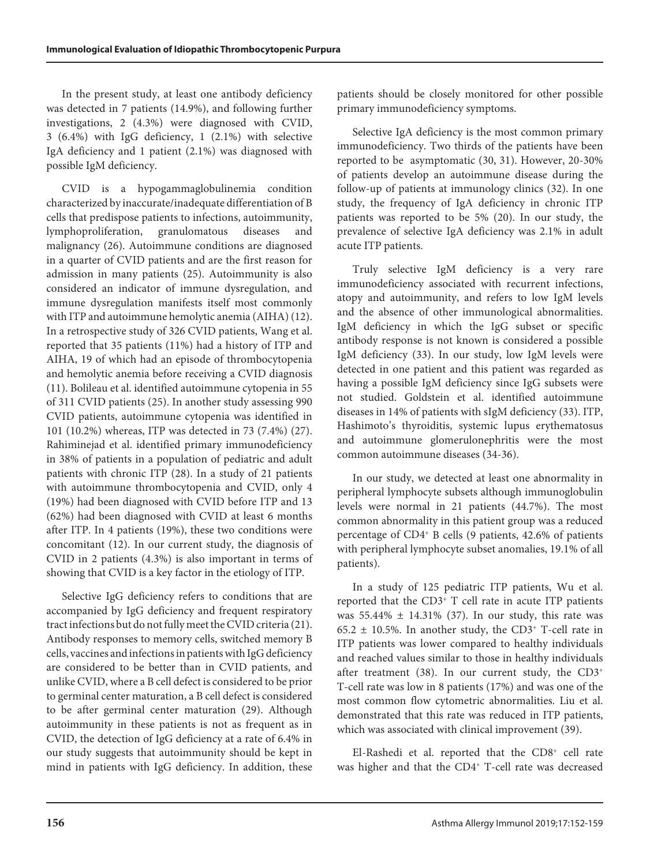In the present study, at least one antibody deficiency was detected in 7 patients (14.9%), and following further investigations, 2 (4.3%) were diagnosed with CVID, 3 (6.4%) with IgG deficiency, 1 (2.1%) with selective IgA deficiency and 1 patient (2.1%) was diagnosed with possible IgM deficiency.

CVID is a hypogammaglobulinemia condition characterized by inaccurate/inadequate differentiation of B cells that predispose patients to infections, autoimmunity, lymphoproliferation, granulomatous diseases and malignancy (26). Autoimmune conditions are diagnosed in a quarter of CVID patients and are the first reason for admission in many patients (25). Autoimmunity is also considered an indicator of immune dysregulation, and immune dysregulation manifests itself most commonly with ITP and autoimmune hemolytic anemia (AIHA) (12). In a retrospective study of 326 CVID patients, Wang et al. reported that 35 patients (11%) had a history of ITP and AIHA, 19 of which had an episode of thrombocytopenia and hemolytic anemia before receiving a CVID diagnosis (11). Bolileau et al. identified autoimmune cytopenia in 55 of 311 CVID patients (25). In another study assessing 990 CVID patients, autoimmune cytopenia was identified in 101 (10.2%) whereas, ITP was detected in 73 (7.4%) (27). Rahiminejad et al. identified primary immunodeficiency in 38% of patients in a population of pediatric and adult patients with chronic ITP (28). In a study of 21 patients with autoimmune thrombocytopenia and CVID, only 4 (19%) had been diagnosed with CVID before ITP and 13 (62%) had been diagnosed with CVID at least 6 months after ITP. In 4 patients (19%), these two conditions were concomitant (12). In our current study, the diagnosis of CVID in 2 patients (4.3%) is also important in terms of showing that CVID is a key factor in the etiology of ITP.

Selective IgG deficiency refers to conditions that are accompanied by IgG deficiency and frequent respiratory tract infections but do not fully meet the CVID criteria (21). Antibody responses to memory cells, switched memory B cells, vaccines and infections in patients with IgG deficiency are considered to be better than in CVID patients, and unlike CVID, where a B cell defect is considered to be prior to germinal center maturation, a B cell defect is considered to be after germinal center maturation (29). Although autoimmunity in these patients is not as frequent as in CVID, the detection of IgG deficiency at a rate of 6.4% in our study suggests that autoimmunity should be kept in mind in patients with IgG deficiency. In addition, these

patients should be closely monitored for other possible primary immunodeficiency symptoms.

Selective IgA deficiency is the most common primary immunodeficiency. Two thirds of the patients have been reported to be asymptomatic (30, 31). However, 20-30% of patients develop an autoimmune disease during the follow-up of patients at immunology clinics (32). In one study, the frequency of IgA deficiency in chronic ITP patients was reported to be 5% (20). In our study, the prevalence of selective IgA deficiency was 2.1% in adult acute ITP patients.

Truly selective IgM deficiency is a very rare immunodeficiency associated with recurrent infections, atopy and autoimmunity, and refers to low IgM levels and the absence of other immunological abnormalities. IgM deficiency in which the IgG subset or specific antibody response is not known is considered a possible IgM deficiency (33). In our study, low IgM levels were detected in one patient and this patient was regarded as having a possible IgM deficiency since IgG subsets were not studied. Goldstein et al. identified autoimmune diseases in 14% of patients with sIgM deficiency (33). ITP, Hashimoto's thyroiditis, systemic lupus erythematosus and autoimmune glomerulonephritis were the most common autoimmune diseases (34-36).

In our study, we detected at least one abnormality in peripheral lymphocyte subsets although immunoglobulin levels were normal in 21 patients (44.7%). The most common abnormality in this patient group was a reduced percentage of CD4+ B cells (9 patients, 42.6% of patients with peripheral lymphocyte subset anomalies, 19.1% of all patients).

In a study of 125 pediatric ITP patients, Wu et al. reported that the CD3+ T cell rate in acute ITP patients was  $55.44\% \pm 14.31\%$  (37). In our study, this rate was 65.2  $\pm$  10.5%. In another study, the CD3<sup>+</sup> T-cell rate in ITP patients was lower compared to healthy individuals and reached values similar to those in healthy individuals after treatment (38). In our current study, the  $CD3<sup>+</sup>$ T-cell rate was low in 8 patients (17%) and was one of the most common flow cytometric abnormalities. Liu et al. demonstrated that this rate was reduced in ITP patients, which was associated with clinical improvement (39).

El-Rashedi et al. reported that the CD8<sup>+</sup> cell rate was higher and that the CD4<sup>+</sup> T-cell rate was decreased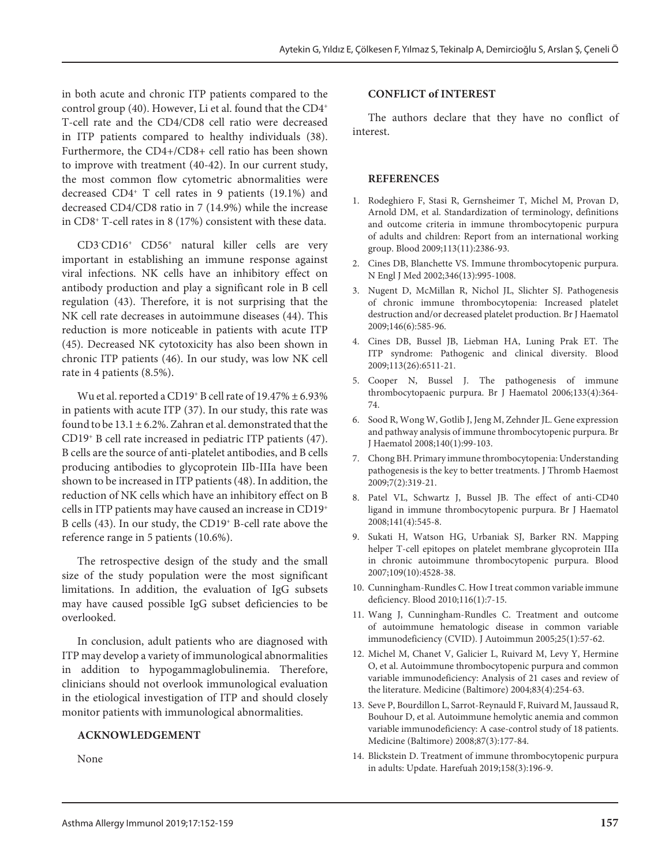in both acute and chronic ITP patients compared to the control group (40). However, Li et al. found that the CD4+ T-cell rate and the CD4/CD8 cell ratio were decreased in ITP patients compared to healthy individuals (38). Furthermore, the CD4+/CD8+ cell ratio has been shown to improve with treatment (40-42). In our current study, the most common flow cytometric abnormalities were decreased CD4+ T cell rates in 9 patients (19.1%) and decreased CD4/CD8 ratio in 7 (14.9%) while the increase in CD8+ T-cell rates in 8 (17%) consistent with these data.

CD3- CD16+ CD56+ natural killer cells are very important in establishing an immune response against viral infections. NK cells have an inhibitory effect on antibody production and play a significant role in B cell regulation (43). Therefore, it is not surprising that the NK cell rate decreases in autoimmune diseases (44). This reduction is more noticeable in patients with acute ITP (45). Decreased NK cytotoxicity has also been shown in chronic ITP patients (46). In our study, was low NK cell rate in 4 patients (8.5%).

Wu et al. reported a CD19<sup>+</sup> B cell rate of  $19.47\% \pm 6.93\%$ in patients with acute ITP (37). In our study, this rate was found to be  $13.1 \pm 6.2$ %. Zahran et al. demonstrated that the CD19+ B cell rate increased in pediatric ITP patients (47). B cells are the source of anti-platelet antibodies, and B cells producing antibodies to glycoprotein IIb-IIIa have been shown to be increased in ITP patients (48). In addition, the reduction of NK cells which have an inhibitory effect on B cells in ITP patients may have caused an increase in CD19+ B cells (43). In our study, the CD19+ B-cell rate above the reference range in 5 patients (10.6%).

The retrospective design of the study and the small size of the study population were the most significant limitations. In addition, the evaluation of IgG subsets may have caused possible IgG subset deficiencies to be overlooked.

In conclusion, adult patients who are diagnosed with ITP may develop a variety of immunological abnormalities in addition to hypogammaglobulinemia. Therefore, clinicians should not overlook immunological evaluation in the etiological investigation of ITP and should closely monitor patients with immunological abnormalities.

#### **ACKNOWLEDGEMENT**

None

#### **CONFLICT of INTEREST**

The authors declare that they have no conflict of interest.

#### **REFERENCES**

- 1. Rodeghiero F, Stasi R, Gernsheimer T, Michel M, Provan D, Arnold DM, et al. Standardization of terminology, definitions and outcome criteria in immune thrombocytopenic purpura of adults and children: Report from an international working group. Blood 2009;113(11):2386-93.
- 2. Cines DB, Blanchette VS. Immune thrombocytopenic purpura. N Engl J Med 2002;346(13):995-1008.
- 3. Nugent D, McMillan R, Nichol JL, Slichter SJ. Pathogenesis of chronic immune thrombocytopenia: Increased platelet destruction and/or decreased platelet production. Br J Haematol 2009;146(6):585-96.
- 4. Cines DB, Bussel JB, Liebman HA, Luning Prak ET. The ITP syndrome: Pathogenic and clinical diversity. Blood 2009;113(26):6511-21.
- 5. Cooper N, Bussel J. The pathogenesis of immune thrombocytopaenic purpura. Br J Haematol 2006;133(4):364- 74.
- 6. Sood R, Wong W, Gotlib J, Jeng M, Zehnder JL. Gene expression and pathway analysis of immune thrombocytopenic purpura. Br J Haematol 2008;140(1):99-103.
- 7. Chong BH. Primary immune thrombocytopenia: Understanding pathogenesis is the key to better treatments. J Thromb Haemost 2009;7(2):319-21.
- 8. Patel VL, Schwartz J, Bussel JB. The effect of anti-CD40 ligand in immune thrombocytopenic purpura. Br J Haematol 2008;141(4):545-8.
- 9. Sukati H, Watson HG, Urbaniak SJ, Barker RN. Mapping helper T-cell epitopes on platelet membrane glycoprotein IIIa in chronic autoimmune thrombocytopenic purpura. Blood 2007;109(10):4528-38.
- 10. Cunningham-Rundles C. How I treat common variable immune deficiency. Blood 2010;116(1):7-15.
- 11. Wang J, Cunningham-Rundles C. Treatment and outcome of autoimmune hematologic disease in common variable immunodeficiency (CVID). J Autoimmun 2005;25(1):57-62.
- 12. Michel M, Chanet V, Galicier L, Ruivard M, Levy Y, Hermine O, et al. Autoimmune thrombocytopenic purpura and common variable immunodeficiency: Analysis of 21 cases and review of the literature. Medicine (Baltimore) 2004;83(4):254-63.
- 13. Seve P, Bourdillon L, Sarrot-Reynauld F, Ruivard M, Jaussaud R, Bouhour D, et al. Autoimmune hemolytic anemia and common variable immunodeficiency: A case-control study of 18 patients. Medicine (Baltimore) 2008;87(3):177-84.
- 14. Blickstein D. Treatment of immune thrombocytopenic purpura in adults: Update. Harefuah 2019;158(3):196-9.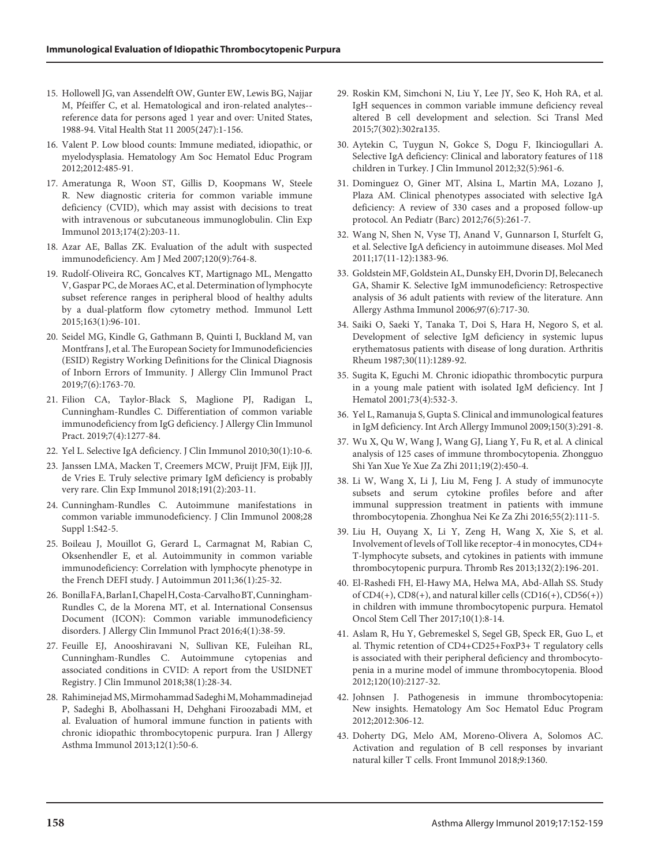- 15. Hollowell JG, van Assendelft OW, Gunter EW, Lewis BG, Najjar M, Pfeiffer C, et al. Hematological and iron-related analytes- reference data for persons aged 1 year and over: United States, 1988-94. Vital Health Stat 11 2005(247):1-156.
- 16. Valent P. Low blood counts: Immune mediated, idiopathic, or myelodysplasia. Hematology Am Soc Hematol Educ Program 2012;2012:485-91.
- 17. Ameratunga R, Woon ST, Gillis D, Koopmans W, Steele R. New diagnostic criteria for common variable immune deficiency (CVID), which may assist with decisions to treat with intravenous or subcutaneous immunoglobulin. Clin Exp Immunol 2013;174(2):203-11.
- 18. Azar AE, Ballas ZK. Evaluation of the adult with suspected immunodeficiency. Am J Med 2007;120(9):764-8.
- 19. Rudolf-Oliveira RC, Goncalves KT, Martignago ML, Mengatto V, Gaspar PC, de Moraes AC, et al. Determination of lymphocyte subset reference ranges in peripheral blood of healthy adults by a dual-platform flow cytometry method. Immunol Lett 2015;163(1):96-101.
- 20. Seidel MG, Kindle G, Gathmann B, Quinti I, Buckland M, van Montfrans J, et al. The European Society for Immunodeficiencies (ESID) Registry Working Definitions for the Clinical Diagnosis of Inborn Errors of Immunity. J Allergy Clin Immunol Pract 2019;7(6):1763-70.
- 21. Filion CA, Taylor-Black S, Maglione PJ, Radigan L, Cunningham-Rundles C. Differentiation of common variable immunodeficiency from IgG deficiency. J Allergy Clin Immunol Pract. 2019;7(4):1277-84.
- 22. Yel L. Selective IgA deficiency. J Clin Immunol 2010;30(1):10-6.
- 23. Janssen LMA, Macken T, Creemers MCW, Pruijt JFM, Eijk JJJ, de Vries E. Truly selective primary IgM deficiency is probably very rare. Clin Exp Immunol 2018;191(2):203-11.
- 24. Cunningham-Rundles C. Autoimmune manifestations in common variable immunodeficiency. J Clin Immunol 2008;28 Suppl 1:S42-5.
- 25. Boileau J, Mouillot G, Gerard L, Carmagnat M, Rabian C, Oksenhendler E, et al. Autoimmunity in common variable immunodeficiency: Correlation with lymphocyte phenotype in the French DEFI study. J Autoimmun 2011;36(1):25-32.
- 26. Bonilla FA, Barlan I, Chapel H, Costa-Carvalho BT, Cunningham-Rundles C, de la Morena MT, et al. International Consensus Document (ICON): Common variable immunodeficiency disorders. J Allergy Clin Immunol Pract 2016;4(1):38-59.
- 27. Feuille EJ, Anooshiravani N, Sullivan KE, Fuleihan RL, Cunningham-Rundles C. Autoimmune cytopenias and associated conditions in CVID: A report from the USIDNET Registry. J Clin Immunol 2018;38(1):28-34.
- 28. Rahiminejad MS, Mirmohammad Sadeghi M, Mohammadinejad P, Sadeghi B, Abolhassani H, Dehghani Firoozabadi MM, et al. Evaluation of humoral immune function in patients with chronic idiopathic thrombocytopenic purpura. Iran J Allergy Asthma Immunol 2013;12(1):50-6.
- 29. Roskin KM, Simchoni N, Liu Y, Lee JY, Seo K, Hoh RA, et al. IgH sequences in common variable immune deficiency reveal altered B cell development and selection. Sci Transl Med 2015;7(302):302ra135.
- 30. Aytekin C, Tuygun N, Gokce S, Dogu F, Ikinciogullari A. Selective IgA deficiency: Clinical and laboratory features of 118 children in Turkey. J Clin Immunol 2012;32(5):961-6.
- 31. Dominguez O, Giner MT, Alsina L, Martin MA, Lozano J, Plaza AM. Clinical phenotypes associated with selective IgA deficiency: A review of 330 cases and a proposed follow-up protocol. An Pediatr (Barc) 2012;76(5):261-7.
- 32. Wang N, Shen N, Vyse TJ, Anand V, Gunnarson I, Sturfelt G, et al. Selective IgA deficiency in autoimmune diseases. Mol Med 2011;17(11-12):1383-96.
- 33. Goldstein MF, Goldstein AL, Dunsky EH, Dvorin DJ, Belecanech GA, Shamir K. Selective IgM immunodeficiency: Retrospective analysis of 36 adult patients with review of the literature. Ann Allergy Asthma Immunol 2006;97(6):717-30.
- 34. Saiki O, Saeki Y, Tanaka T, Doi S, Hara H, Negoro S, et al. Development of selective IgM deficiency in systemic lupus erythematosus patients with disease of long duration. Arthritis Rheum 1987;30(11):1289-92.
- 35. Sugita K, Eguchi M. Chronic idiopathic thrombocytic purpura in a young male patient with isolated IgM deficiency. Int J Hematol 2001;73(4):532-3.
- 36. Yel L, Ramanuja S, Gupta S. Clinical and immunological features in IgM deficiency. Int Arch Allergy Immunol 2009;150(3):291-8.
- 37. Wu X, Qu W, Wang J, Wang GJ, Liang Y, Fu R, et al. A clinical analysis of 125 cases of immune thrombocytopenia. Zhongguo Shi Yan Xue Ye Xue Za Zhi 2011;19(2):450-4.
- 38. Li W, Wang X, Li J, Liu M, Feng J. A study of immunocyte subsets and serum cytokine profiles before and after immunal suppression treatment in patients with immune thrombocytopenia. Zhonghua Nei Ke Za Zhi 2016;55(2):111-5.
- 39. Liu H, Ouyang X, Li Y, Zeng H, Wang X, Xie S, et al. Involvement of levels of Toll like receptor-4 in monocytes, CD4+ T-lymphocyte subsets, and cytokines in patients with immune thrombocytopenic purpura. Thromb Res 2013;132(2):196-201.
- 40. El-Rashedi FH, El-Hawy MA, Helwa MA, Abd-Allah SS. Study of CD4(+), CD8(+), and natural killer cells (CD16(+), CD56(+)) in children with immune thrombocytopenic purpura. Hematol Oncol Stem Cell Ther 2017;10(1):8-14.
- 41. Aslam R, Hu Y, Gebremeskel S, Segel GB, Speck ER, Guo L, et al. Thymic retention of CD4+CD25+FoxP3+ T regulatory cells is associated with their peripheral deficiency and thrombocytopenia in a murine model of immune thrombocytopenia. Blood 2012;120(10):2127-32.
- 42. Johnsen J. Pathogenesis in immune thrombocytopenia: New insights. Hematology Am Soc Hematol Educ Program 2012;2012:306-12.
- 43. Doherty DG, Melo AM, Moreno-Olivera A, Solomos AC. Activation and regulation of B cell responses by invariant natural killer T cells. Front Immunol 2018;9:1360.